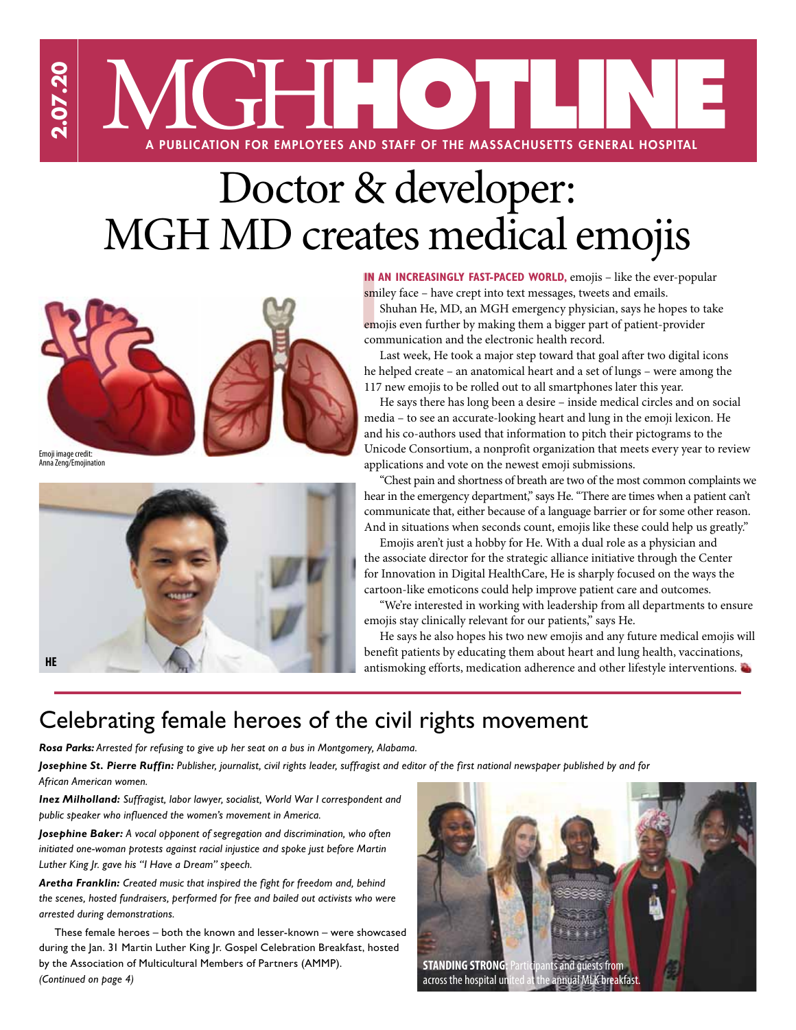

# Doctor & developer: MGH MD creates medical emojis



Emoji image credit: Anna Zeng/Emojination



smiley face – have crept into text messages, tweets and emails.

**IN AN INCREASINGLY FAST-PACED WORLD,** emojis – like the ever-popular smiley face – have crept into text messages, tweets and emails.<br>Shuhan He, MD, an MGH emergency physician, says he hopes to take emojis even further by Shuhan He, MD, an MGH emergency physician, says he hopes to take emojis even further by making them a bigger part of patient-provider communication and the electronic health record.

Last week, He took a major step toward that goal after two digital icons he helped create – an anatomical heart and a set of lungs – were among the 117 new emojis to be rolled out to all smartphones later this year.

He says there has long been a desire – inside medical circles and on social media – to see an accurate-looking heart and lung in the emoji lexicon. He and his co-authors used that information to pitch their pictograms to the Unicode Consortium, a nonprofit organization that meets every year to review applications and vote on the newest emoji submissions.

"Chest pain and shortness of breath are two of the most common complaints we hear in the emergency department," says He. "There are times when a patient can't communicate that, either because of a language barrier or for some other reason. And in situations when seconds count, emojis like these could help us greatly."

Emojis aren't just a hobby for He. With a dual role as a physician and the associate director for the strategic alliance initiative through the Center for Innovation in Digital HealthCare, He is sharply focused on the ways the cartoon-like emoticons could help improve patient care and outcomes.

"We're interested in working with leadership from all departments to ensure emojis stay clinically relevant for our patients," says He.

He says he also hopes his two new emojis and any future medical emojis will benefit patients by educating them about heart and lung health, vaccinations, antismoking efforts, medication adherence and other lifestyle interventions.

### Celebrating female heroes of the civil rights movement

*Rosa Parks: Arrested for refusing to give up her seat on a bus in Montgomery, Alabama.* 

*Josephine St. Pierre Ruffin: Publisher, journalist, civil rights leader, suffragist and editor of the first national newspaper published by and for African American women.*

*Inez Milholland: Suffragist, labor lawyer, socialist, World War I correspondent and public speaker who influenced the women's movement in America.*

*Josephine Baker: A vocal opponent of segregation and discrimination, who often initiated one-woman protests against racial injustice and spoke just before Martin Luther King Jr. gave his "I Have a Dream" speech.*

*Aretha Franklin: Created music that inspired the fight for freedom and, behind the scenes, hosted fundraisers, performed for free and bailed out activists who were arrested during demonstrations.*

These female heroes – both the known and lesser-known – were showcased during the Jan. 31 Martin Luther King Jr. Gospel Celebration Breakfast, hosted by the Association of Multicultural Members of Partners (AMMP). *(Continued on page 4)*

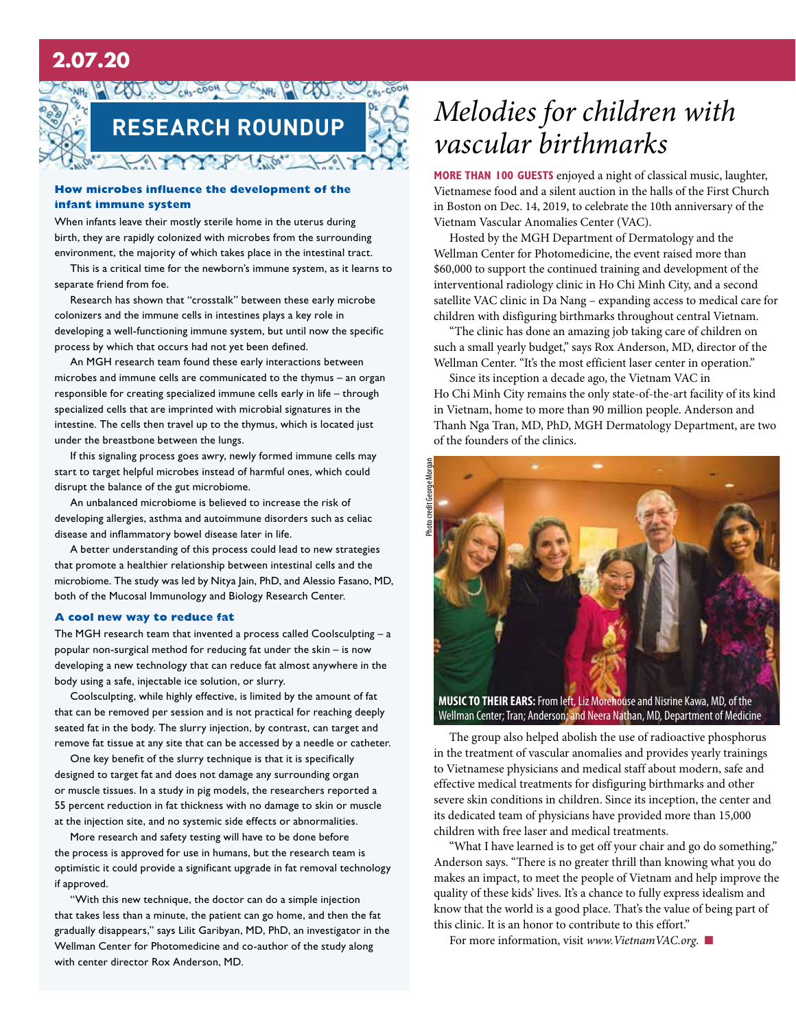### **2.07.20**



#### **How microbes influence the development of the infant immune system**

When infants leave their mostly sterile home in the uterus during birth, they are rapidly colonized with microbes from the surrounding environment, the majority of which takes place in the intestinal tract.

This is a critical time for the newborn's immune system, as it learns to separate friend from foe.

Research has shown that "crosstalk" between these early microbe colonizers and the immune cells in intestines plays a key role in developing a well-functioning immune system, but until now the specific process by which that occurs had not yet been defined.

An MGH research team found these early interactions between microbes and immune cells are communicated to the thymus – an organ responsible for creating specialized immune cells early in life – through specialized cells that are imprinted with microbial signatures in the intestine. The cells then travel up to the thymus, which is located just under the breastbone between the lungs.

If this signaling process goes awry, newly formed immune cells may start to target helpful microbes instead of harmful ones, which could disrupt the balance of the gut microbiome.

An unbalanced microbiome is believed to increase the risk of developing allergies, asthma and autoimmune disorders such as celiac disease and inflammatory bowel disease later in life.

A better understanding of this process could lead to new strategies that promote a healthier relationship between intestinal cells and the microbiome. The study was led by Nitya Jain, PhD, and Alessio Fasano, MD, both of the Mucosal Immunology and Biology Research Center.

#### **A cool new way to reduce fat**

The MGH research team that invented a process called Coolsculpting – a popular non-surgical method for reducing fat under the skin – is now developing a new technology that can reduce fat almost anywhere in the body using a safe, injectable ice solution, or slurry.

Coolsculpting, while highly effective, is limited by the amount of fat that can be removed per session and is not practical for reaching deeply seated fat in the body. The slurry injection, by contrast, can target and remove fat tissue at any site that can be accessed by a needle or catheter.

One key benefit of the slurry technique is that it is specifically designed to target fat and does not damage any surrounding organ or muscle tissues. In a study in pig models, the researchers reported a 55 percent reduction in fat thickness with no damage to skin or muscle at the injection site, and no systemic side effects or abnormalities.

More research and safety testing will have to be done before the process is approved for use in humans, but the research team is optimistic it could provide a significant upgrade in fat removal technology if approved.

"With this new technique, the doctor can do a simple injection that takes less than a minute, the patient can go home, and then the fat gradually disappears," says Lilit Garibyan, MD, PhD, an investigator in the Wellman Center for Photomedicine and co-author of the study along with center director Rox Anderson, MD.

## *Melodies for children with vascular birthmarks*

**More than 100 guests** enjoyed a night of classical music, laughter, Vietnamese food and a silent auction in the halls of the First Church in Boston on Dec. 14, 2019, to celebrate the 10th anniversary of the Vietnam Vascular Anomalies Center (VAC).

Hosted by the MGH Department of Dermatology and the Wellman Center for Photomedicine, the event raised more than \$60,000 to support the continued training and development of the interventional radiology clinic in Ho Chi Minh City, and a second satellite VAC clinic in Da Nang – expanding access to medical care for children with disfiguring birthmarks throughout central Vietnam.

"The clinic has done an amazing job taking care of children on such a small yearly budget," says Rox Anderson, MD, director of the Wellman Center. "It's the most efficient laser center in operation."

Since its inception a decade ago, the Vietnam VAC in Ho Chi Minh City remains the only state-of-the-art facility of its kind in Vietnam, home to more than 90 million people. Anderson and Thanh Nga Tran, MD, PhD, MGH Dermatology Department, are two of the founders of the clinics.



Wellman Center; Tran; Anderson; and Neera Nathan, MD, Department of Medicine

The group also helped abolish the use of radioactive phosphorus in the treatment of vascular anomalies and provides yearly trainings to Vietnamese physicians and medical staff about modern, safe and effective medical treatments for disfiguring birthmarks and other severe skin conditions in children. Since its inception, the center and its dedicated team of physicians have provided more than 15,000 children with free laser and medical treatments.

"What I have learned is to get off your chair and go do something," Anderson says. "There is no greater thrill than knowing what you do makes an impact, to meet the people of Vietnam and help improve the quality of these kids' lives. It's a chance to fully express idealism and know that the world is a good place. That's the value of being part of this clinic. It is an honor to contribute to this effort."

For more information, visit *www.VietnamVAC.org*. ■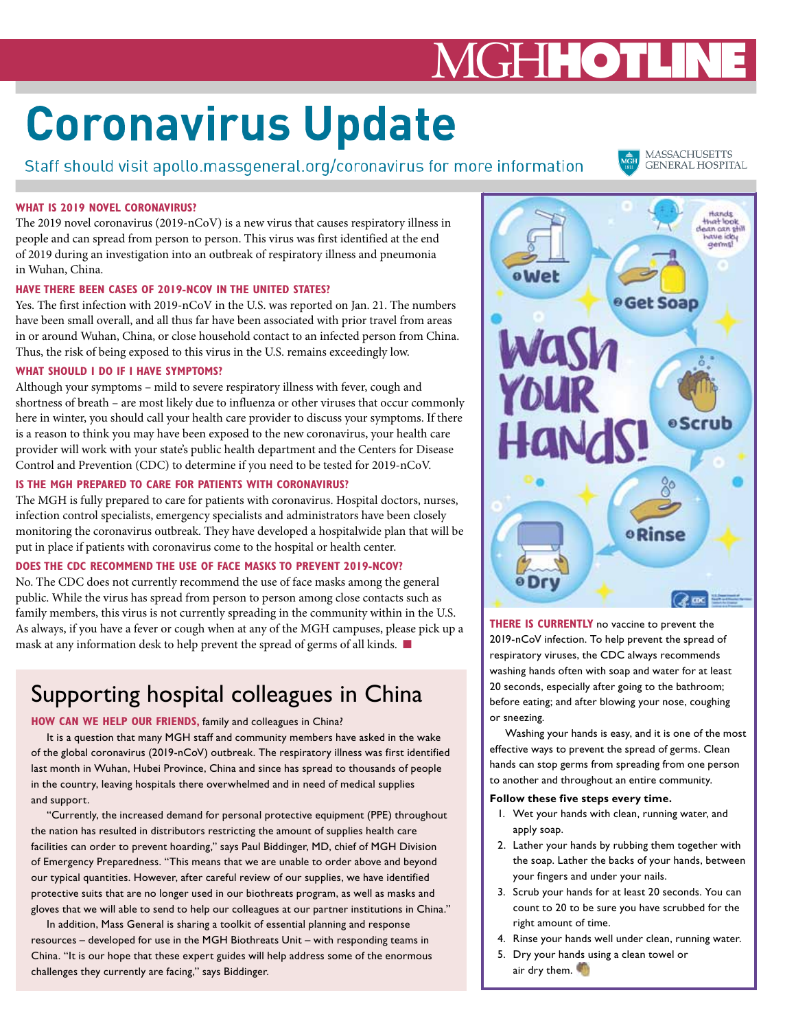# MGH**HOTL**

# **Coronavirus Update**

Staff should visit apollo.massgeneral.org/coronavirus for more information

**MASSACHUSETTS GENERAL HOSPITAL** 

#### **What is 2019 novel coronavirus?**

The 2019 novel coronavirus (2019-nCoV) is a new virus that causes respiratory illness in people and can spread from person to person. This virus was first identified at the end of 2019 during an investigation into an outbreak of respiratory illness and pneumonia in Wuhan, China.

#### **Have there been cases of 2019-nCoV in the United States?**

Yes. The first infection with 2019-nCoV in the U.S. was reported on Jan. 21. The numbers have been small overall, and all thus far have been associated with prior travel from areas in or around Wuhan, China, or close household contact to an infected person from China. Thus, the risk of being exposed to this virus in the U.S. remains exceedingly low.

#### **What should I do if I have symptoms?**

Although your symptoms – mild to severe respiratory illness with fever, cough and shortness of breath – are most likely due to influenza or other viruses that occur commonly here in winter, you should call your health care provider to discuss your symptoms. If there is a reason to think you may have been exposed to the new coronavirus, your health care provider will work with your state's public health department and the Centers for Disease Control and Prevention (CDC) to determine if you need to be tested for 2019-nCoV.

#### **Is the MGH prepared to care for patients with coronavirus?**

The MGH is fully prepared to care for patients with coronavirus. Hospital doctors, nurses, infection control specialists, emergency specialists and administrators have been closely monitoring the coronavirus outbreak. They have developed a hospitalwide plan that will be put in place if patients with coronavirus come to the hospital or health center.

#### **Does the CDC recommend the use of face masks to prevent 2019-nCoV?**

No. The CDC does not currently recommend the use of face masks among the general public. While the virus has spread from person to person among close contacts such as family members, this virus is not currently spreading in the community within in the U.S. As always, if you have a fever or cough when at any of the MGH campuses, please pick up a mask at any information desk to help prevent the spread of germs of all kinds. ■

### Supporting hospital colleagues in China

#### **HOW CAN WE HELP OUR FRIENDS,** family and colleagues in China?

It is a question that many MGH staff and community members have asked in the wake of the global coronavirus (2019-nCoV) outbreak. The respiratory illness was first identified last month in Wuhan, Hubei Province, China and since has spread to thousands of people in the country, leaving hospitals there overwhelmed and in need of medical supplies and support.

"Currently, the increased demand for personal protective equipment (PPE) throughout the nation has resulted in distributors restricting the amount of supplies health care facilities can order to prevent hoarding," says Paul Biddinger, MD, chief of MGH Division of Emergency Preparedness. "This means that we are unable to order above and beyond our typical quantities. However, after careful review of our supplies, we have identified protective suits that are no longer used in our biothreats program, as well as masks and gloves that we will able to send to help our colleagues at our partner institutions in China."

In addition, Mass General is sharing a toolkit of essential planning and response resources – developed for use in the MGH Biothreats Unit – with responding teams in China. "It is our hope that these expert guides will help address some of the enormous challenges they currently are facing," says Biddinger.



**THERE IS CURRENTLY** no vaccine to prevent the 2019-nCoV infection. To help prevent the spread of respiratory viruses, the CDC always recommends washing hands often with soap and water for at least 20 seconds, especially after going to the bathroom; before eating; and after blowing your nose, coughing or sneezing.

Washing your hands is easy, and it is one of the most effective ways to prevent the spread of germs. Clean hands can stop germs from spreading from one person to another and throughout an entire community.

#### **Follow these five steps every time.**

- 1. Wet your hands with clean, running water, and apply soap.
- 2. Lather your hands by rubbing them together with the soap. Lather the backs of your hands, between your fingers and under your nails.
- 3. Scrub your hands for at least 20 seconds. You can count to 20 to be sure you have scrubbed for the right amount of time.
- 4. Rinse your hands well under clean, running water.
- 5. Dry your hands using a clean towel or air dry them.